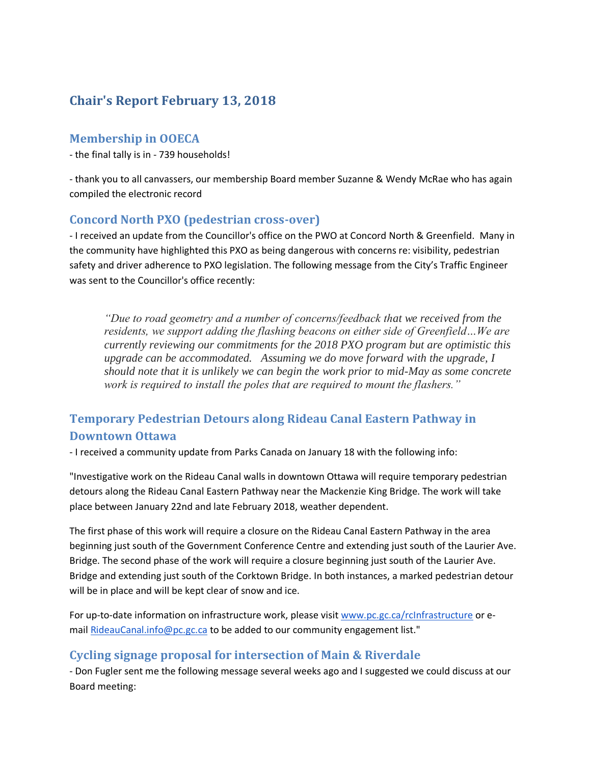## **Chair's Report February 13, 2018**

### **Membership in OOECA**

- the final tally is in - 739 households!

- thank you to all canvassers, our membership Board member Suzanne & Wendy McRae who has again compiled the electronic record

#### **Concord North PXO (pedestrian cross-over)**

- I received an update from the Councillor's office on the PWO at Concord North & Greenfield. Many in the community have highlighted this PXO as being dangerous with concerns re: visibility, pedestrian safety and driver adherence to PXO legislation. The following message from the City's Traffic Engineer was sent to the Councillor's office recently:

*"Due to road geometry and a number of concerns/feedback that we received from the residents, we support adding the flashing beacons on either side of Greenfield…We are currently reviewing our commitments for the 2018 PXO program but are optimistic this upgrade can be accommodated. Assuming we do move forward with the upgrade, I should note that it is unlikely we can begin the work prior to mid-May as some concrete work is required to install the poles that are required to mount the flashers."*

# **Temporary Pedestrian Detours along Rideau Canal Eastern Pathway in Downtown Ottawa**

- I received a community update from Parks Canada on January 18 with the following info:

"Investigative work on the Rideau Canal walls in downtown Ottawa will require temporary pedestrian detours along the Rideau Canal Eastern Pathway near the Mackenzie King Bridge. The work will take place between January 22nd and late February 2018, weather dependent.

The first phase of this work will require a closure on the Rideau Canal Eastern Pathway in the area beginning just south of the Government Conference Centre and extending just south of the Laurier Ave. Bridge. The second phase of the work will require a closure beginning just south of the Laurier Ave. Bridge and extending just south of the Corktown Bridge. In both instances, a marked pedestrian detour will be in place and will be kept clear of snow and ice.

For up-to-date information on infrastructure work, please visit [www.pc.gc.ca/rcInfrastructure](http://www.pc.gc.ca/en/lhn-nhs/on/rideau/visit/infrastructure) or e-mail [RideauCanal.info@pc.gc.ca](mailto:RideauCanal.info@pc.gc.ca) to be added to our community engagement list."

## **Cycling signage proposal for intersection of Main & Riverdale**

- Don Fugler sent me the following message several weeks ago and I suggested we could discuss at our Board meeting: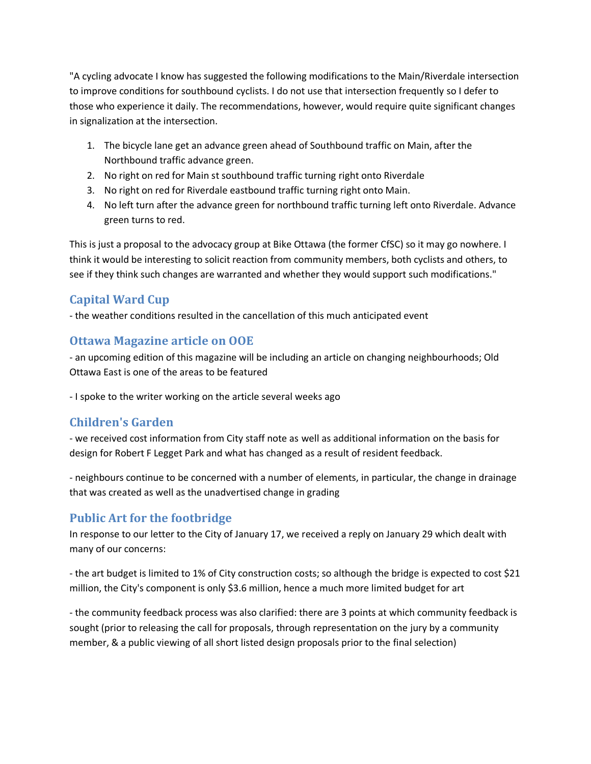"A cycling advocate I know has suggested the following modifications to the Main/Riverdale intersection to improve conditions for southbound cyclists. I do not use that intersection frequently so I defer to those who experience it daily. The recommendations, however, would require quite significant changes in signalization at the intersection.

- 1. The bicycle lane get an advance green ahead of Southbound traffic on Main, after the Northbound traffic advance green.
- 2. No right on red for Main st southbound traffic turning right onto Riverdale
- 3. No right on red for Riverdale eastbound traffic turning right onto Main.
- 4. No left turn after the advance green for northbound traffic turning left onto Riverdale. Advance green turns to red.

This is just a proposal to the advocacy group at Bike Ottawa (the former CfSC) so it may go nowhere. I think it would be interesting to solicit reaction from community members, both cyclists and others, to see if they think such changes are warranted and whether they would support such modifications."

## **Capital Ward Cup**

- the weather conditions resulted in the cancellation of this much anticipated event

## **Ottawa Magazine article on OOE**

- an upcoming edition of this magazine will be including an article on changing neighbourhoods; Old Ottawa East is one of the areas to be featured

- I spoke to the writer working on the article several weeks ago

## **Children's Garden**

- we received cost information from City staff note as well as additional information on the basis for design for Robert F Legget Park and what has changed as a result of resident feedback.

- neighbours continue to be concerned with a number of elements, in particular, the change in drainage that was created as well as the unadvertised change in grading

## **Public Art for the footbridge**

In response to our letter to the City of January 17, we received a reply on January 29 which dealt with many of our concerns:

- the art budget is limited to 1% of City construction costs; so although the bridge is expected to cost \$21 million, the City's component is only \$3.6 million, hence a much more limited budget for art

- the community feedback process was also clarified: there are 3 points at which community feedback is sought (prior to releasing the call for proposals, through representation on the jury by a community member, & a public viewing of all short listed design proposals prior to the final selection)